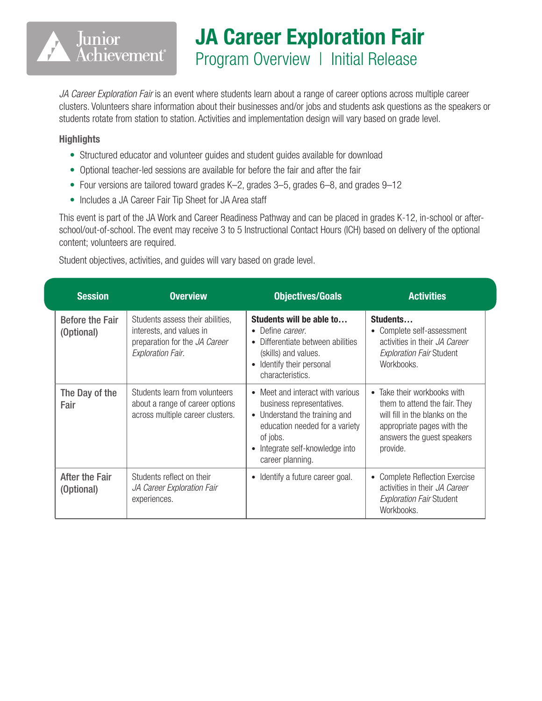## JA Career Exploration Fair Program Overview | Initial Release

*JA Career Exploration Fair* is an event where students learn about a range of career options across multiple career clusters. Volunteers share information about their businesses and/or jobs and students ask questions as the speakers or students rotate from station to station. Activities and implementation design will vary based on grade level.

## **Highlights**

Junior

Achievement®

- Structured educator and volunteer guides and student guides available for download
- Optional teacher-led sessions are available for before the fair and after the fair
- Four versions are tailored toward grades K–2, grades 3–5, grades 6–8, and grades 9–12
- Includes a JA Career Fair Tip Sheet for JA Area staff

This event is part of the JA Work and Career Readiness Pathway and can be placed in grades K-12, in-school or afterschool/out-of-school. The event may receive 3 to 5 Instructional Contact Hours (ICH) based on delivery of the optional content; volunteers are required.

Student objectives, activities, and guides will vary based on grade level.

| <b>Session</b>                       | <b>Overview</b>                                                                                                           | <b>Objectives/Goals</b>                                                                                                                                                                             | <b>Activities</b>                                                                                                                                                      |
|--------------------------------------|---------------------------------------------------------------------------------------------------------------------------|-----------------------------------------------------------------------------------------------------------------------------------------------------------------------------------------------------|------------------------------------------------------------------------------------------------------------------------------------------------------------------------|
| <b>Before the Fair</b><br>(Optional) | Students assess their abilities,<br>interests, and values in<br>preparation for the JA Career<br><b>Exploration Fair.</b> | Students will be able to<br>• Define <i>career</i> .<br>Differentiate between abilities<br>(skills) and values.<br>Identify their personal<br>$\bullet$<br>characteristics.                         | Students<br>• Complete self-assessment<br>activities in their JA Career<br><b>Exploration Fair Student</b><br>Workbooks.                                               |
| The Day of the<br>Fair               | Students learn from volunteers<br>about a range of career options<br>across multiple career clusters.                     | • Meet and interact with various<br>business representatives.<br>• Understand the training and<br>education needed for a variety<br>of jobs.<br>• Integrate self-knowledge into<br>career planning. | • Take their workbooks with<br>them to attend the fair. They<br>will fill in the blanks on the<br>appropriate pages with the<br>answers the guest speakers<br>provide. |
| After the Fair<br>(Optional)         | Students reflect on their<br>JA Career Exploration Fair<br>experiences.                                                   | • Identify a future career goal.                                                                                                                                                                    | <b>Complete Reflection Exercise</b><br>$\bullet$<br>activities in their JA Career<br><b>Exploration Fair Student</b><br>Workbooks.                                     |